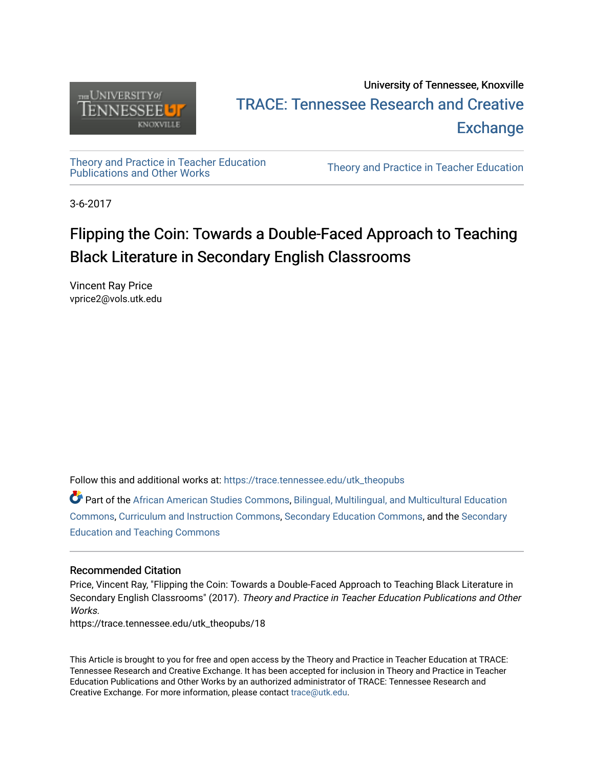

## University of Tennessee, Knoxville TRACE: T[ennessee Research and Cr](https://trace.tennessee.edu/)eative **Exchange**

[Theory and Practice in Teacher Education](https://trace.tennessee.edu/utk_theopubs)

Theory and Practice in Teacher Education

3-6-2017

# Flipping the Coin: Towards a Double-Faced Approach to Teaching Black Literature in Secondary English Classrooms

Vincent Ray Price vprice2@vols.utk.edu

Follow this and additional works at: [https://trace.tennessee.edu/utk\\_theopubs](https://trace.tennessee.edu/utk_theopubs?utm_source=trace.tennessee.edu%2Futk_theopubs%2F18&utm_medium=PDF&utm_campaign=PDFCoverPages)

**C** Part of the [African American Studies Commons,](https://network.bepress.com/hgg/discipline/567?utm_source=trace.tennessee.edu%2Futk_theopubs%2F18&utm_medium=PDF&utm_campaign=PDFCoverPages) Bilingual, Multilingual, and Multicultural Education [Commons](https://network.bepress.com/hgg/discipline/785?utm_source=trace.tennessee.edu%2Futk_theopubs%2F18&utm_medium=PDF&utm_campaign=PDFCoverPages), [Curriculum and Instruction Commons](https://network.bepress.com/hgg/discipline/786?utm_source=trace.tennessee.edu%2Futk_theopubs%2F18&utm_medium=PDF&utm_campaign=PDFCoverPages), [Secondary Education Commons,](https://network.bepress.com/hgg/discipline/1382?utm_source=trace.tennessee.edu%2Futk_theopubs%2F18&utm_medium=PDF&utm_campaign=PDFCoverPages) and the [Secondary](https://network.bepress.com/hgg/discipline/809?utm_source=trace.tennessee.edu%2Futk_theopubs%2F18&utm_medium=PDF&utm_campaign=PDFCoverPages)  [Education and Teaching Commons](https://network.bepress.com/hgg/discipline/809?utm_source=trace.tennessee.edu%2Futk_theopubs%2F18&utm_medium=PDF&utm_campaign=PDFCoverPages) 

#### Recommended Citation

Price, Vincent Ray, "Flipping the Coin: Towards a Double-Faced Approach to Teaching Black Literature in Secondary English Classrooms" (2017). Theory and Practice in Teacher Education Publications and Other **Works** 

https://trace.tennessee.edu/utk\_theopubs/18

This Article is brought to you for free and open access by the Theory and Practice in Teacher Education at TRACE: Tennessee Research and Creative Exchange. It has been accepted for inclusion in Theory and Practice in Teacher Education Publications and Other Works by an authorized administrator of TRACE: Tennessee Research and Creative Exchange. For more information, please contact [trace@utk.edu](mailto:trace@utk.edu).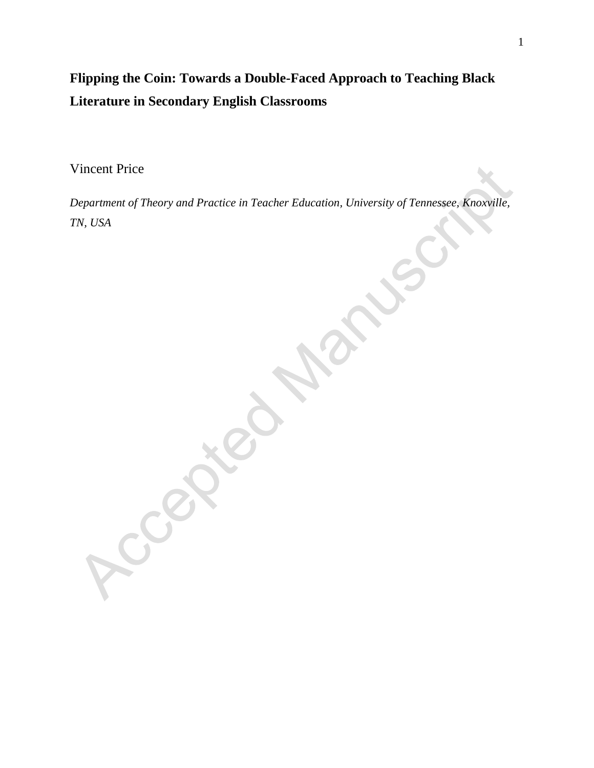## **Flipping the Coin: Towards a Double-Faced Approach to Teaching Black Literature in Secondary English Classrooms**

Vincent Price

Leong

*Department of Theory and Practice in Teacher Education, University of Tennessee, Knoxville, TN, USA*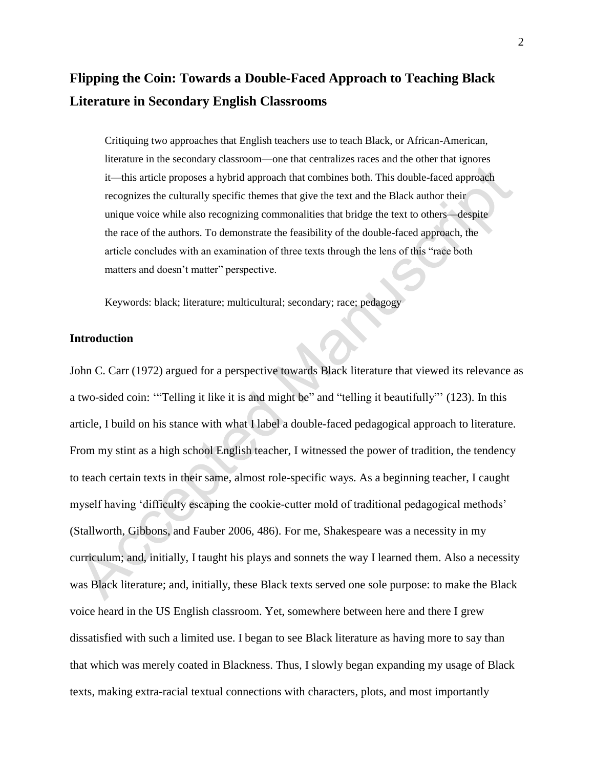### **Flipping the Coin: Towards a Double-Faced Approach to Teaching Black Literature in Secondary English Classrooms**

Critiquing two approaches that English teachers use to teach Black, or African-American, literature in the secondary classroom—one that centralizes races and the other that ignores it—this article proposes a hybrid approach that combines both. This double-faced approach recognizes the culturally specific themes that give the text and the Black author their unique voice while also recognizing commonalities that bridge the text to others—despite the race of the authors. To demonstrate the feasibility of the double-faced approach, the article concludes with an examination of three texts through the lens of this "race both matters and doesn't matter" perspective.

Keywords: black; literature; multicultural; secondary; race; pedagogy

#### **Introduction**

John C. Carr (1972) argued for a perspective towards Black literature that viewed its relevance as a two-sided coin: '"Telling it like it is and might be" and "telling it beautifully"' (123). In this article, I build on his stance with what I label a double-faced pedagogical approach to literature. From my stint as a high school English teacher, I witnessed the power of tradition, the tendency to teach certain texts in their same, almost role-specific ways. As a beginning teacher, I caught myself having 'difficulty escaping the cookie-cutter mold of traditional pedagogical methods' (Stallworth, Gibbons, and Fauber 2006, 486). For me, Shakespeare was a necessity in my curriculum; and, initially, I taught his plays and sonnets the way I learned them. Also a necessity was Black literature; and, initially, these Black texts served one sole purpose: to make the Black voice heard in the US English classroom. Yet, somewhere between here and there I grew dissatisfied with such a limited use. I began to see Black literature as having more to say than that which was merely coated in Blackness. Thus, I slowly began expanding my usage of Black texts, making extra-racial textual connections with characters, plots, and most importantly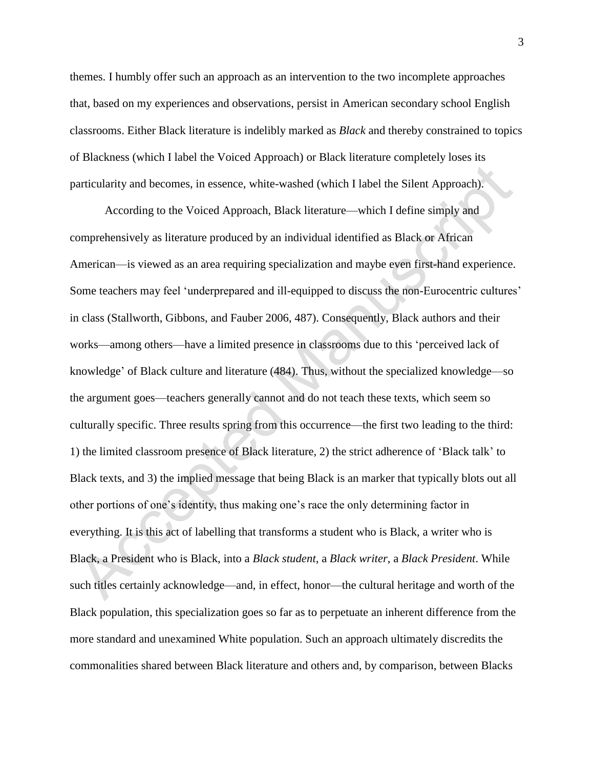themes. I humbly offer such an approach as an intervention to the two incomplete approaches that, based on my experiences and observations, persist in American secondary school English classrooms. Either Black literature is indelibly marked as *Black* and thereby constrained to topics of Blackness (which I label the Voiced Approach) or Black literature completely loses its particularity and becomes, in essence, white-washed (which I label the Silent Approach).

According to the Voiced Approach, Black literature—which I define simply and comprehensively as literature produced by an individual identified as Black or African American—is viewed as an area requiring specialization and maybe even first-hand experience. Some teachers may feel 'underprepared and ill-equipped to discuss the non-Eurocentric cultures' in class (Stallworth, Gibbons, and Fauber 2006, 487). Consequently, Black authors and their works—among others—have a limited presence in classrooms due to this 'perceived lack of knowledge' of Black culture and literature (484). Thus, without the specialized knowledge—so the argument goes—teachers generally cannot and do not teach these texts, which seem so culturally specific. Three results spring from this occurrence—the first two leading to the third: 1) the limited classroom presence of Black literature, 2) the strict adherence of 'Black talk' to Black texts, and 3) the implied message that being Black is an marker that typically blots out all other portions of one's identity, thus making one's race the only determining factor in everything. It is this act of labelling that transforms a student who is Black, a writer who is Black, a President who is Black, into a *Black student*, a *Black writer*, a *Black President*. While such titles certainly acknowledge—and, in effect, honor—the cultural heritage and worth of the Black population, this specialization goes so far as to perpetuate an inherent difference from the more standard and unexamined White population. Such an approach ultimately discredits the commonalities shared between Black literature and others and, by comparison, between Blacks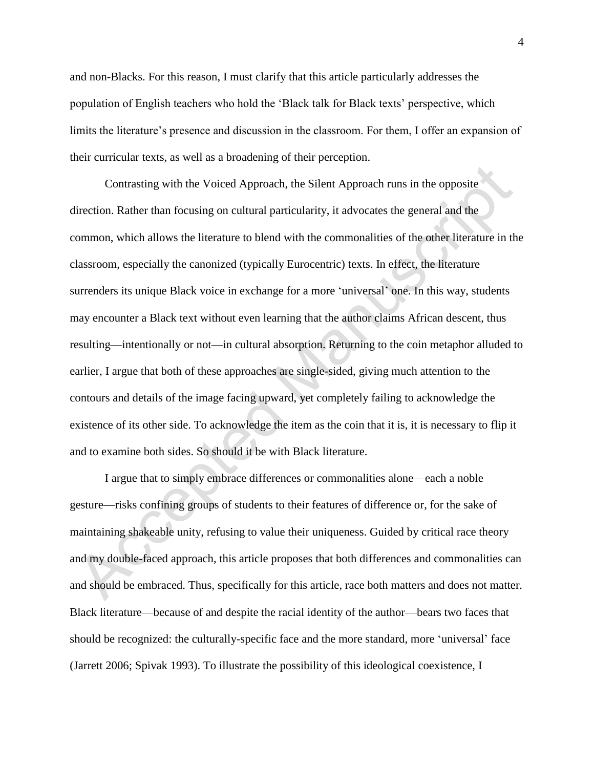and non-Blacks. For this reason, I must clarify that this article particularly addresses the population of English teachers who hold the 'Black talk for Black texts' perspective, which limits the literature's presence and discussion in the classroom. For them, I offer an expansion of their curricular texts, as well as a broadening of their perception.

Contrasting with the Voiced Approach, the Silent Approach runs in the opposite direction. Rather than focusing on cultural particularity, it advocates the general and the common, which allows the literature to blend with the commonalities of the other literature in the classroom, especially the canonized (typically Eurocentric) texts. In effect, the literature surrenders its unique Black voice in exchange for a more 'universal' one. In this way, students may encounter a Black text without even learning that the author claims African descent, thus resulting—intentionally or not—in cultural absorption. Returning to the coin metaphor alluded to earlier, I argue that both of these approaches are single-sided, giving much attention to the contours and details of the image facing upward, yet completely failing to acknowledge the existence of its other side. To acknowledge the item as the coin that it is, it is necessary to flip it and to examine both sides. So should it be with Black literature.

I argue that to simply embrace differences or commonalities alone—each a noble gesture—risks confining groups of students to their features of difference or, for the sake of maintaining shakeable unity, refusing to value their uniqueness. Guided by critical race theory and my double-faced approach, this article proposes that both differences and commonalities can and should be embraced. Thus, specifically for this article, race both matters and does not matter. Black literature—because of and despite the racial identity of the author—bears two faces that should be recognized: the culturally-specific face and the more standard, more 'universal' face (Jarrett 2006; Spivak 1993). To illustrate the possibility of this ideological coexistence, I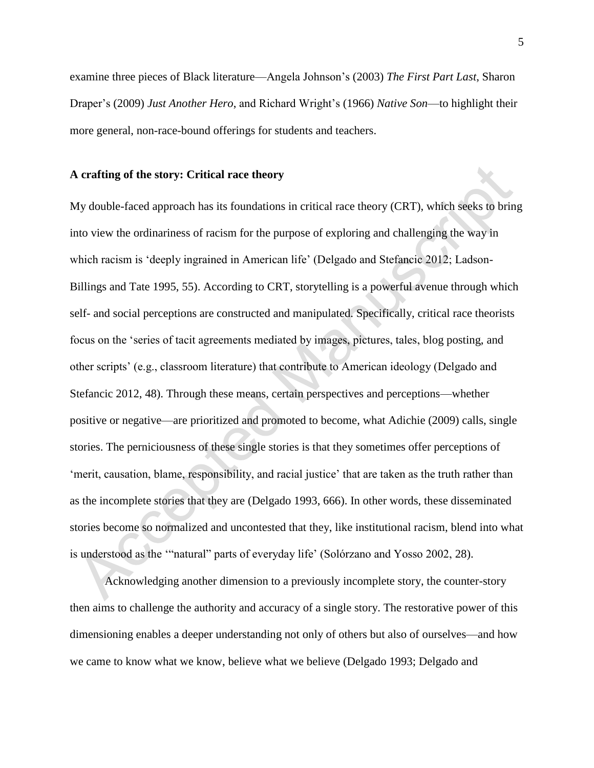examine three pieces of Black literature—Angela Johnson's (2003) *The First Part Last*, Sharon Draper's (2009) *Just Another Hero*, and Richard Wright's (1966) *Native Son*—to highlight their more general, non-race-bound offerings for students and teachers.

#### **A crafting of the story: Critical race theory**

My double-faced approach has its foundations in critical race theory (CRT), which seeks to bring into view the ordinariness of racism for the purpose of exploring and challenging the way in which racism is 'deeply ingrained in American life' (Delgado and Stefancic 2012; Ladson-Billings and Tate 1995, 55). According to CRT, storytelling is a powerful avenue through which self- and social perceptions are constructed and manipulated. Specifically, critical race theorists focus on the 'series of tacit agreements mediated by images, pictures, tales, blog posting, and other scripts' (e.g., classroom literature) that contribute to American ideology (Delgado and Stefancic 2012, 48). Through these means, certain perspectives and perceptions—whether positive or negative—are prioritized and promoted to become, what Adichie (2009) calls, single stories. The perniciousness of these single stories is that they sometimes offer perceptions of 'merit, causation, blame, responsibility, and racial justice' that are taken as the truth rather than as the incomplete stories that they are (Delgado 1993, 666). In other words, these disseminated stories become so normalized and uncontested that they, like institutional racism, blend into what is understood as the '"natural" parts of everyday life' (Solórzano and Yosso 2002, 28).

Acknowledging another dimension to a previously incomplete story, the counter-story then aims to challenge the authority and accuracy of a single story. The restorative power of this dimensioning enables a deeper understanding not only of others but also of ourselves—and how we came to know what we know, believe what we believe (Delgado 1993; Delgado and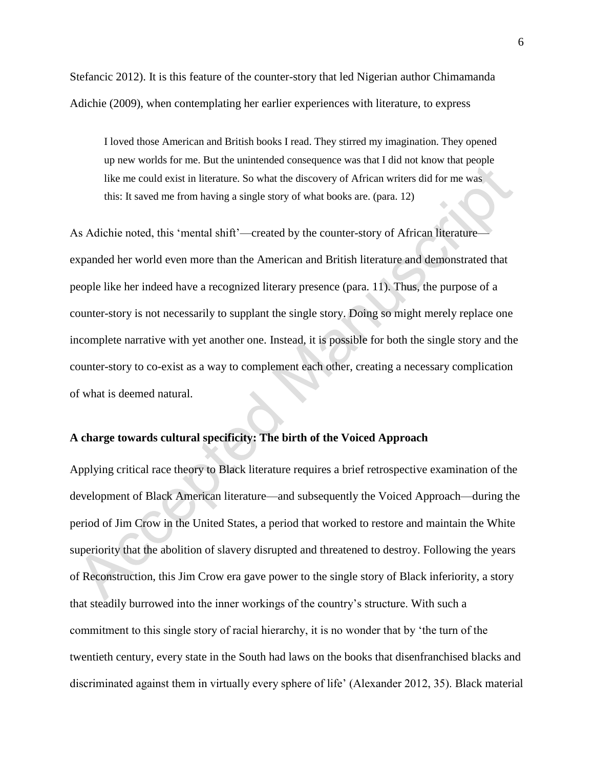Stefancic 2012). It is this feature of the counter-story that led Nigerian author Chimamanda Adichie (2009), when contemplating her earlier experiences with literature, to express

I loved those American and British books I read. They stirred my imagination. They opened up new worlds for me. But the unintended consequence was that I did not know that people like me could exist in literature. So what the discovery of African writers did for me was this: It saved me from having a single story of what books are. (para. 12)

As Adichie noted, this 'mental shift'—created by the counter-story of African literature expanded her world even more than the American and British literature and demonstrated that people like her indeed have a recognized literary presence (para. 11). Thus, the purpose of a counter-story is not necessarily to supplant the single story. Doing so might merely replace one incomplete narrative with yet another one. Instead, it is possible for both the single story and the counter-story to co-exist as a way to complement each other, creating a necessary complication of what is deemed natural.

### **A charge towards cultural specificity: The birth of the Voiced Approach**

Applying critical race theory to Black literature requires a brief retrospective examination of the development of Black American literature—and subsequently the Voiced Approach—during the period of Jim Crow in the United States, a period that worked to restore and maintain the White superiority that the abolition of slavery disrupted and threatened to destroy. Following the years of Reconstruction, this Jim Crow era gave power to the single story of Black inferiority, a story that steadily burrowed into the inner workings of the country's structure. With such a commitment to this single story of racial hierarchy, it is no wonder that by 'the turn of the twentieth century, every state in the South had laws on the books that disenfranchised blacks and discriminated against them in virtually every sphere of life' (Alexander 2012, 35). Black material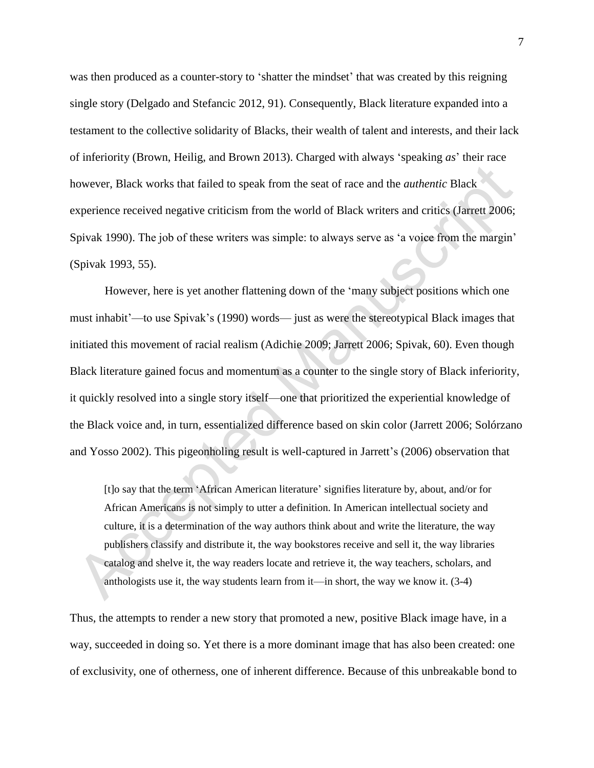was then produced as a counter-story to 'shatter the mindset' that was created by this reigning single story (Delgado and Stefancic 2012, 91). Consequently, Black literature expanded into a testament to the collective solidarity of Blacks, their wealth of talent and interests, and their lack of inferiority (Brown, Heilig, and Brown 2013). Charged with always 'speaking *as*' their race however, Black works that failed to speak from the seat of race and the *authentic* Black experience received negative criticism from the world of Black writers and critics (Jarrett 2006; Spivak 1990). The job of these writers was simple: to always serve as 'a voice from the margin' (Spivak 1993, 55).

However, here is yet another flattening down of the 'many subject positions which one must inhabit'—to use Spivak's (1990) words— just as were the stereotypical Black images that initiated this movement of racial realism (Adichie 2009; Jarrett 2006; Spivak, 60). Even though Black literature gained focus and momentum as a counter to the single story of Black inferiority, it quickly resolved into a single story itself—one that prioritized the experiential knowledge of the Black voice and, in turn, essentialized difference based on skin color (Jarrett 2006; Solórzano and Yosso 2002). This pigeonholing result is well-captured in Jarrett's (2006) observation that

[t]o say that the term 'African American literature' signifies literature by, about, and/or for African Americans is not simply to utter a definition. In American intellectual society and culture, it is a determination of the way authors think about and write the literature, the way publishers classify and distribute it, the way bookstores receive and sell it, the way libraries catalog and shelve it, the way readers locate and retrieve it, the way teachers, scholars, and anthologists use it, the way students learn from it—in short, the way we know it. (3-4)

Thus, the attempts to render a new story that promoted a new, positive Black image have, in a way, succeeded in doing so. Yet there is a more dominant image that has also been created: one of exclusivity, one of otherness, one of inherent difference. Because of this unbreakable bond to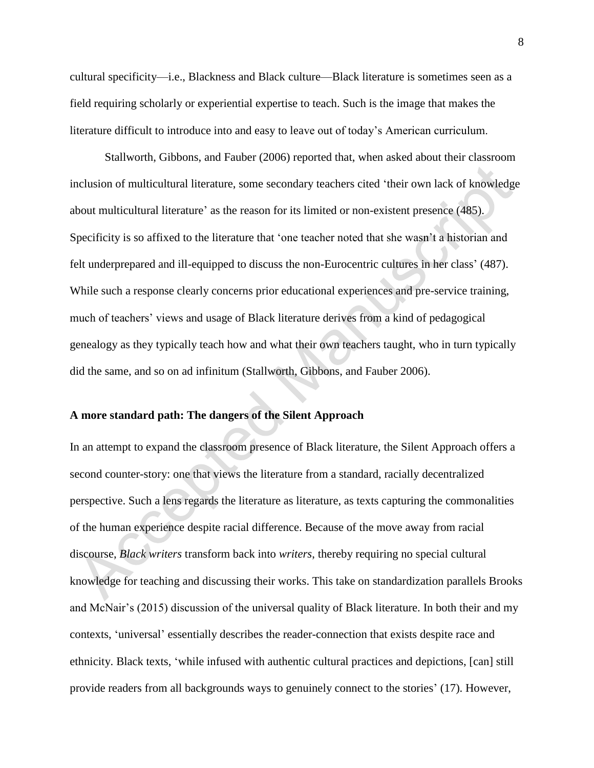cultural specificity—i.e., Blackness and Black culture—Black literature is sometimes seen as a field requiring scholarly or experiential expertise to teach. Such is the image that makes the literature difficult to introduce into and easy to leave out of today's American curriculum.

Stallworth, Gibbons, and Fauber (2006) reported that, when asked about their classroom inclusion of multicultural literature, some secondary teachers cited 'their own lack of knowledge about multicultural literature' as the reason for its limited or non-existent presence (485). Specificity is so affixed to the literature that 'one teacher noted that she wasn't a historian and felt underprepared and ill-equipped to discuss the non-Eurocentric cultures in her class' (487). While such a response clearly concerns prior educational experiences and pre-service training, much of teachers' views and usage of Black literature derives from a kind of pedagogical genealogy as they typically teach how and what their own teachers taught, who in turn typically did the same, and so on ad infinitum (Stallworth, Gibbons, and Fauber 2006).

#### **A more standard path: The dangers of the Silent Approach**

In an attempt to expand the classroom presence of Black literature, the Silent Approach offers a second counter-story: one that views the literature from a standard, racially decentralized perspective. Such a lens regards the literature as literature, as texts capturing the commonalities of the human experience despite racial difference. Because of the move away from racial discourse, *Black writers* transform back into *writers*, thereby requiring no special cultural knowledge for teaching and discussing their works. This take on standardization parallels Brooks and McNair's (2015) discussion of the universal quality of Black literature. In both their and my contexts, 'universal' essentially describes the reader-connection that exists despite race and ethnicity. Black texts, 'while infused with authentic cultural practices and depictions, [can] still provide readers from all backgrounds ways to genuinely connect to the stories' (17). However,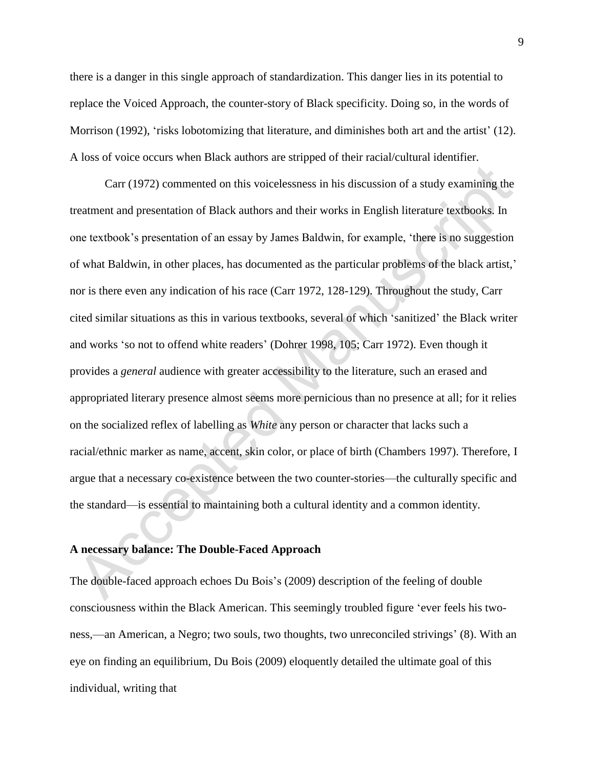there is a danger in this single approach of standardization. This danger lies in its potential to replace the Voiced Approach, the counter-story of Black specificity. Doing so, in the words of Morrison (1992), 'risks lobotomizing that literature, and diminishes both art and the artist' (12). A loss of voice occurs when Black authors are stripped of their racial/cultural identifier.

Carr (1972) commented on this voicelessness in his discussion of a study examining the treatment and presentation of Black authors and their works in English literature textbooks. In one textbook's presentation of an essay by James Baldwin, for example, 'there is no suggestion of what Baldwin, in other places, has documented as the particular problems of the black artist,' nor is there even any indication of his race (Carr 1972, 128-129). Throughout the study, Carr cited similar situations as this in various textbooks, several of which 'sanitized' the Black writer and works 'so not to offend white readers' (Dohrer 1998, 105; Carr 1972). Even though it provides a *general* audience with greater accessibility to the literature, such an erased and appropriated literary presence almost seems more pernicious than no presence at all; for it relies on the socialized reflex of labelling as *White* any person or character that lacks such a racial/ethnic marker as name, accent, skin color, or place of birth (Chambers 1997). Therefore, I argue that a necessary co-existence between the two counter-stories—the culturally specific and the standard—is essential to maintaining both a cultural identity and a common identity.

#### **A necessary balance: The Double-Faced Approach**

The double-faced approach echoes Du Bois's (2009) description of the feeling of double consciousness within the Black American. This seemingly troubled figure 'ever feels his twoness,—an American, a Negro; two souls, two thoughts, two unreconciled strivings' (8). With an eye on finding an equilibrium, Du Bois (2009) eloquently detailed the ultimate goal of this individual, writing that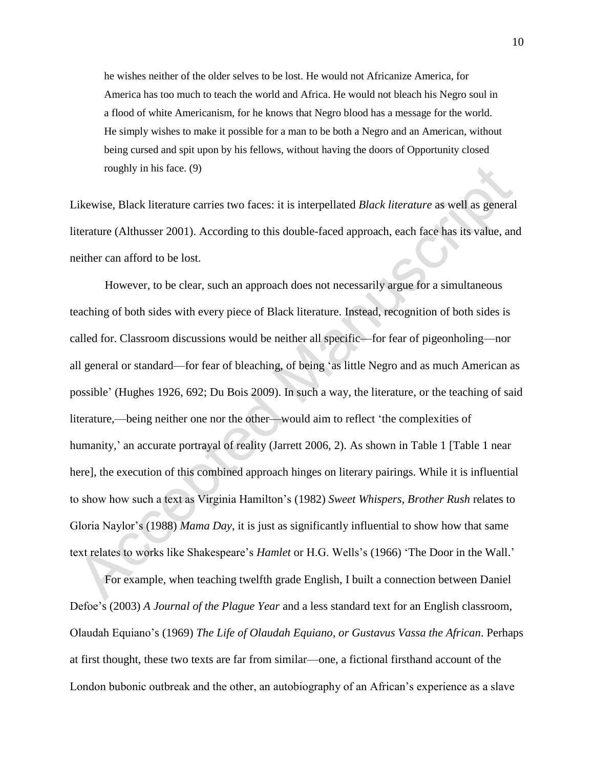he wishes neither of the older selves to be lost. He would not Africanize America, for America has too much to teach the world and Africa. He would not bleach his Negro soul in a flood of white Americanism, for he knows that Negro blood has a message for the world. He simply wishes to make it possible for a man to be both a Negro and an American, without being cursed and spit upon by his fellows, without having the doors of Opportunity closed roughly in his face. (9)

Likewise, Black literature carries two faces: it is interpellated *Black literature* as well as general literature (Althusser 2001). According to this double-faced approach, each face has its value, and neither can afford to be lost.

However, to be clear, such an approach does not necessarily argue for a simultaneous teaching of both sides with every piece of Black literature. Instead, recognition of both sides is called for. Classroom discussions would be neither all specific—for fear of pigeonholing—nor all general or standard—for fear of bleaching, of being 'as little Negro and as much American as possible' (Hughes 1926, 692; Du Bois 2009). In such a way, the literature, or the teaching of said literature,—being neither one nor the other—would aim to reflect 'the complexities of humanity,' an accurate portrayal of reality (Jarrett 2006, 2). As shown in Table 1 [Table 1 near here], the execution of this combined approach hinges on literary pairings. While it is influential to show how such a text as Virginia Hamilton's (1982) *Sweet Whispers, Brother Rush* relates to Gloria Naylor's (1988) *Mama Day*, it is just as significantly influential to show how that same text relates to works like Shakespeare's *Hamlet* or H.G. Wells's (1966) 'The Door in the Wall.'

For example, when teaching twelfth grade English, I built a connection between Daniel Defoe's (2003) *A Journal of the Plague Year* and a less standard text for an English classroom, Olaudah Equiano's (1969) *The Life of Olaudah Equiano, or Gustavus Vassa the African*. Perhaps at first thought, these two texts are far from similar—one, a fictional firsthand account of the London bubonic outbreak and the other, an autobiography of an African's experience as a slave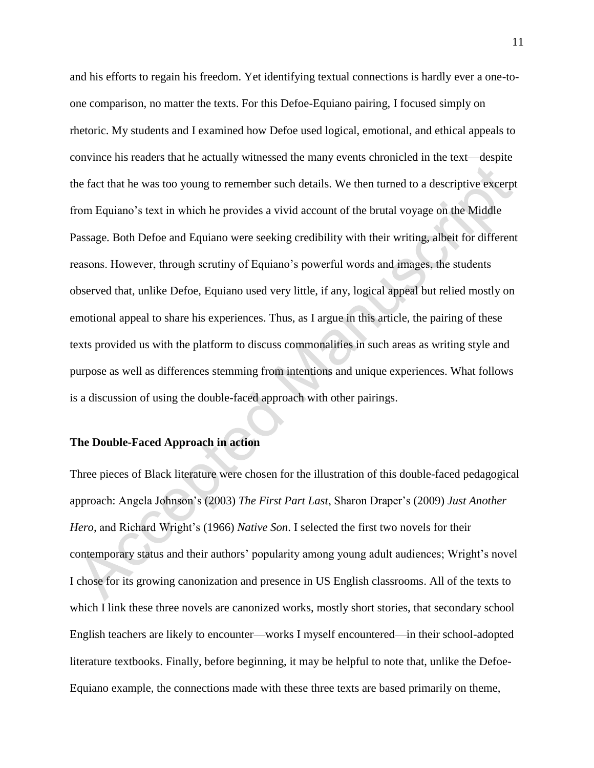and his efforts to regain his freedom. Yet identifying textual connections is hardly ever a one-toone comparison, no matter the texts. For this Defoe-Equiano pairing, I focused simply on rhetoric. My students and I examined how Defoe used logical, emotional, and ethical appeals to convince his readers that he actually witnessed the many events chronicled in the text—despite the fact that he was too young to remember such details. We then turned to a descriptive excerpt from Equiano's text in which he provides a vivid account of the brutal voyage on the Middle Passage. Both Defoe and Equiano were seeking credibility with their writing, albeit for different reasons. However, through scrutiny of Equiano's powerful words and images, the students observed that, unlike Defoe, Equiano used very little, if any, logical appeal but relied mostly on emotional appeal to share his experiences. Thus, as I argue in this article, the pairing of these texts provided us with the platform to discuss commonalities in such areas as writing style and purpose as well as differences stemming from intentions and unique experiences. What follows is a discussion of using the double-faced approach with other pairings.

#### **The Double-Faced Approach in action**

Three pieces of Black literature were chosen for the illustration of this double-faced pedagogical approach: Angela Johnson's (2003) *The First Part Last*, Sharon Draper's (2009) *Just Another Hero*, and Richard Wright's (1966) *Native Son*. I selected the first two novels for their contemporary status and their authors' popularity among young adult audiences; Wright's novel I chose for its growing canonization and presence in US English classrooms. All of the texts to which I link these three novels are canonized works, mostly short stories, that secondary school English teachers are likely to encounter—works I myself encountered—in their school-adopted literature textbooks. Finally, before beginning, it may be helpful to note that, unlike the Defoe-Equiano example, the connections made with these three texts are based primarily on theme,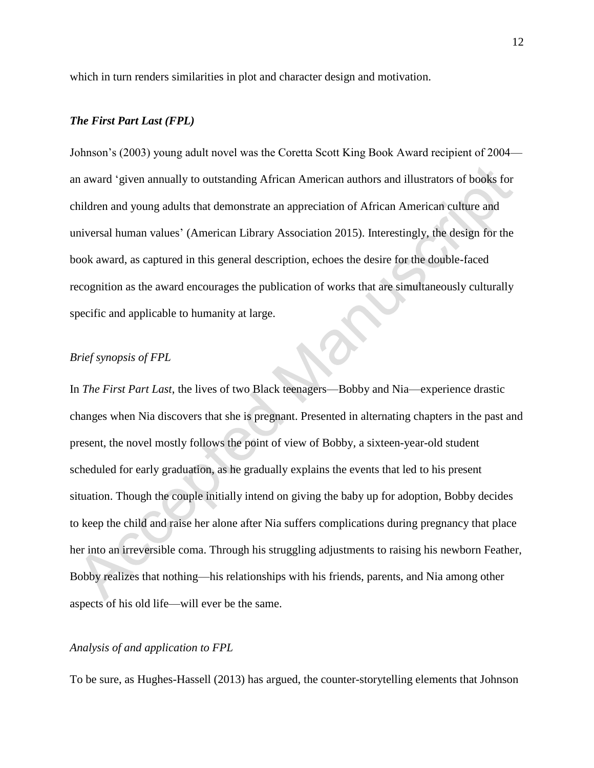which in turn renders similarities in plot and character design and motivation.

#### *The First Part Last (FPL)*

Johnson's (2003) young adult novel was the Coretta Scott King Book Award recipient of 2004 an award 'given annually to outstanding African American authors and illustrators of books for children and young adults that demonstrate an appreciation of African American culture and universal human values' (American Library Association 2015). Interestingly, the design for the book award, as captured in this general description, echoes the desire for the double-faced recognition as the award encourages the publication of works that are simultaneously culturally specific and applicable to humanity at large.

#### *Brief synopsis of FPL*

In *The First Part Last*, the lives of two Black teenagers—Bobby and Nia—experience drastic changes when Nia discovers that she is pregnant. Presented in alternating chapters in the past and present, the novel mostly follows the point of view of Bobby, a sixteen-year-old student scheduled for early graduation, as he gradually explains the events that led to his present situation. Though the couple initially intend on giving the baby up for adoption, Bobby decides to keep the child and raise her alone after Nia suffers complications during pregnancy that place her into an irreversible coma. Through his struggling adjustments to raising his newborn Feather, Bobby realizes that nothing—his relationships with his friends, parents, and Nia among other aspects of his old life—will ever be the same.

#### *Analysis of and application to FPL*

To be sure, as Hughes-Hassell (2013) has argued, the counter-storytelling elements that Johnson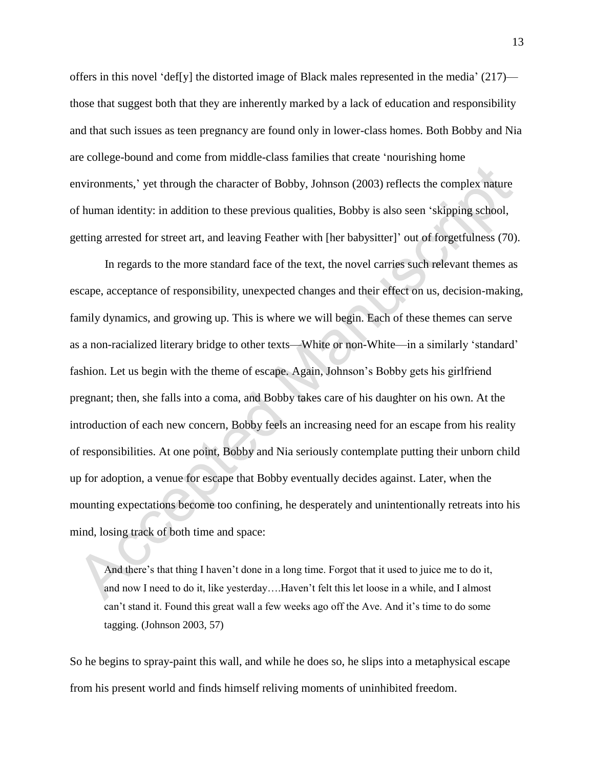offers in this novel 'def[y] the distorted image of Black males represented in the media' (217) those that suggest both that they are inherently marked by a lack of education and responsibility and that such issues as teen pregnancy are found only in lower-class homes. Both Bobby and Nia are college-bound and come from middle-class families that create 'nourishing home environments,' yet through the character of Bobby, Johnson (2003) reflects the complex nature of human identity: in addition to these previous qualities, Bobby is also seen 'skipping school, getting arrested for street art, and leaving Feather with [her babysitter]' out of forgetfulness (70).

In regards to the more standard face of the text, the novel carries such relevant themes as escape, acceptance of responsibility, unexpected changes and their effect on us, decision-making, family dynamics, and growing up. This is where we will begin. Each of these themes can serve as a non-racialized literary bridge to other texts—White or non-White—in a similarly 'standard' fashion. Let us begin with the theme of escape. Again, Johnson's Bobby gets his girlfriend pregnant; then, she falls into a coma, and Bobby takes care of his daughter on his own. At the introduction of each new concern, Bobby feels an increasing need for an escape from his reality of responsibilities. At one point, Bobby and Nia seriously contemplate putting their unborn child up for adoption, a venue for escape that Bobby eventually decides against. Later, when the mounting expectations become too confining, he desperately and unintentionally retreats into his mind, losing track of both time and space:

And there's that thing I haven't done in a long time. Forgot that it used to juice me to do it, and now I need to do it, like yesterday….Haven't felt this let loose in a while, and I almost can't stand it. Found this great wall a few weeks ago off the Ave. And it's time to do some tagging. (Johnson 2003, 57)

So he begins to spray-paint this wall, and while he does so, he slips into a metaphysical escape from his present world and finds himself reliving moments of uninhibited freedom.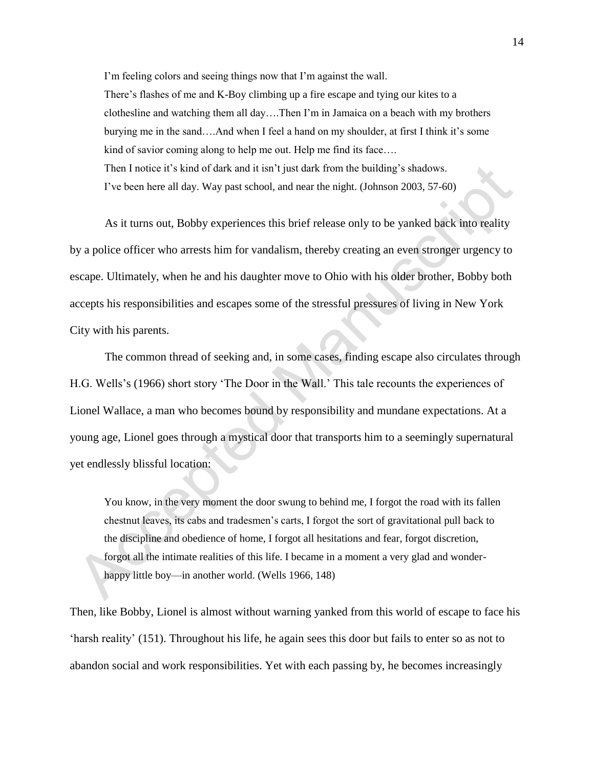I'm feeling colors and seeing things now that I'm against the wall. There's flashes of me and K-Boy climbing up a fire escape and tying our kites to a clothesline and watching them all day….Then I'm in Jamaica on a beach with my brothers burying me in the sand….And when I feel a hand on my shoulder, at first I think it's some kind of savior coming along to help me out. Help me find its face.... Then I notice it's kind of dark and it isn't just dark from the building's shadows. I've been here all day. Way past school, and near the night. (Johnson 2003, 57-60)

As it turns out, Bobby experiences this brief release only to be yanked back into reality by a police officer who arrests him for vandalism, thereby creating an even stronger urgency to escape. Ultimately, when he and his daughter move to Ohio with his older brother, Bobby both accepts his responsibilities and escapes some of the stressful pressures of living in New York City with his parents.

The common thread of seeking and, in some cases, finding escape also circulates through H.G. Wells's (1966) short story 'The Door in the Wall.' This tale recounts the experiences of Lionel Wallace, a man who becomes bound by responsibility and mundane expectations. At a young age, Lionel goes through a mystical door that transports him to a seemingly supernatural yet endlessly blissful location:

You know, in the very moment the door swung to behind me, I forgot the road with its fallen chestnut leaves, its cabs and tradesmen's carts, I forgot the sort of gravitational pull back to the discipline and obedience of home, I forgot all hesitations and fear, forgot discretion, forgot all the intimate realities of this life. I became in a moment a very glad and wonderhappy little boy—in another world. (Wells 1966, 148)

Then, like Bobby, Lionel is almost without warning yanked from this world of escape to face his 'harsh reality' (151). Throughout his life, he again sees this door but fails to enter so as not to abandon social and work responsibilities. Yet with each passing by, he becomes increasingly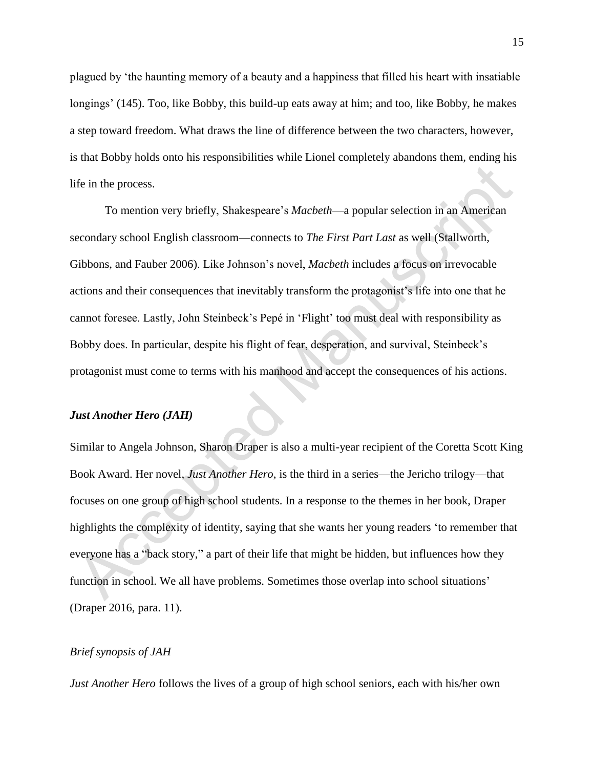plagued by 'the haunting memory of a beauty and a happiness that filled his heart with insatiable longings' (145). Too, like Bobby, this build-up eats away at him; and too, like Bobby, he makes a step toward freedom. What draws the line of difference between the two characters, however, is that Bobby holds onto his responsibilities while Lionel completely abandons them, ending his life in the process.

To mention very briefly, Shakespeare's *Macbeth*—a popular selection in an American secondary school English classroom—connects to *The First Part Last* as well (Stallworth, Gibbons, and Fauber 2006). Like Johnson's novel, *Macbeth* includes a focus on irrevocable actions and their consequences that inevitably transform the protagonist's life into one that he cannot foresee. Lastly, John Steinbeck's Pepé in 'Flight' too must deal with responsibility as Bobby does. In particular, despite his flight of fear, desperation, and survival, Steinbeck's protagonist must come to terms with his manhood and accept the consequences of his actions.

#### *Just Another Hero (JAH)*

Similar to Angela Johnson, Sharon Draper is also a multi-year recipient of the Coretta Scott King Book Award. Her novel, *Just Another Hero*, is the third in a series—the Jericho trilogy—that focuses on one group of high school students. In a response to the themes in her book, Draper highlights the complexity of identity, saying that she wants her young readers 'to remember that everyone has a "back story," a part of their life that might be hidden, but influences how they function in school. We all have problems. Sometimes those overlap into school situations' (Draper 2016, para. 11).

#### *Brief synopsis of JAH*

*Just Another Hero* follows the lives of a group of high school seniors, each with his/her own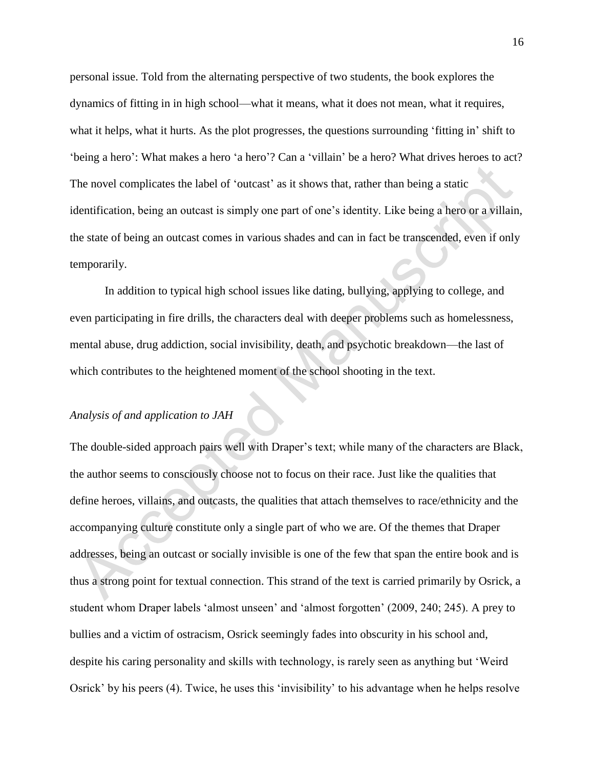personal issue. Told from the alternating perspective of two students, the book explores the dynamics of fitting in in high school—what it means, what it does not mean, what it requires, what it helps, what it hurts. As the plot progresses, the questions surrounding 'fitting in' shift to 'being a hero': What makes a hero 'a hero'? Can a 'villain' be a hero? What drives heroes to act? The novel complicates the label of 'outcast' as it shows that, rather than being a static identification, being an outcast is simply one part of one's identity. Like being a hero or a villain, the state of being an outcast comes in various shades and can in fact be transcended, even if only temporarily.

In addition to typical high school issues like dating, bullying, applying to college, and even participating in fire drills, the characters deal with deeper problems such as homelessness, mental abuse, drug addiction, social invisibility, death, and psychotic breakdown—the last of which contributes to the heightened moment of the school shooting in the text.

### *Analysis of and application to JAH*

The double-sided approach pairs well with Draper's text; while many of the characters are Black, the author seems to consciously choose not to focus on their race. Just like the qualities that define heroes, villains, and outcasts, the qualities that attach themselves to race/ethnicity and the accompanying culture constitute only a single part of who we are. Of the themes that Draper addresses, being an outcast or socially invisible is one of the few that span the entire book and is thus a strong point for textual connection. This strand of the text is carried primarily by Osrick, a student whom Draper labels 'almost unseen' and 'almost forgotten' (2009, 240; 245). A prey to bullies and a victim of ostracism, Osrick seemingly fades into obscurity in his school and, despite his caring personality and skills with technology, is rarely seen as anything but 'Weird Osrick' by his peers (4). Twice, he uses this 'invisibility' to his advantage when he helps resolve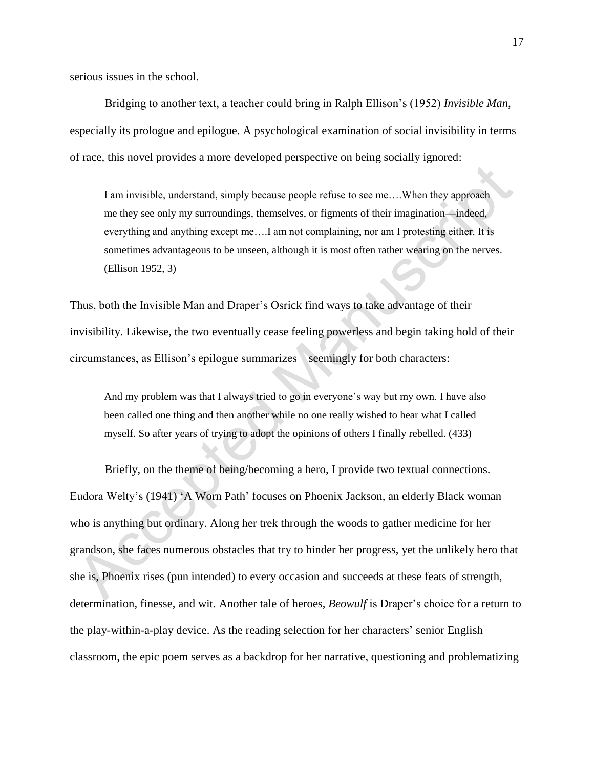serious issues in the school.

Bridging to another text, a teacher could bring in Ralph Ellison's (1952) *Invisible Man*, especially its prologue and epilogue. A psychological examination of social invisibility in terms of race*,* this novel provides a more developed perspective on being socially ignored:

I am invisible, understand, simply because people refuse to see me….When they approach me they see only my surroundings, themselves, or figments of their imagination—indeed, everything and anything except me….I am not complaining, nor am I protesting either. It is sometimes advantageous to be unseen, although it is most often rather wearing on the nerves. (Ellison 1952, 3)

Thus, both the Invisible Man and Draper's Osrick find ways to take advantage of their invisibility. Likewise, the two eventually cease feeling powerless and begin taking hold of their circumstances, as Ellison's epilogue summarizes—seemingly for both characters:

And my problem was that I always tried to go in everyone's way but my own. I have also been called one thing and then another while no one really wished to hear what I called myself. So after years of trying to adopt the opinions of others I finally rebelled. (433)

Briefly, on the theme of being/becoming a hero, I provide two textual connections. Eudora Welty's (1941) 'A Worn Path' focuses on Phoenix Jackson, an elderly Black woman who is anything but ordinary. Along her trek through the woods to gather medicine for her grandson, she faces numerous obstacles that try to hinder her progress, yet the unlikely hero that she is, Phoenix rises (pun intended) to every occasion and succeeds at these feats of strength, determination, finesse, and wit. Another tale of heroes, *Beowulf* is Draper's choice for a return to the play-within-a-play device. As the reading selection for her characters' senior English classroom, the epic poem serves as a backdrop for her narrative, questioning and problematizing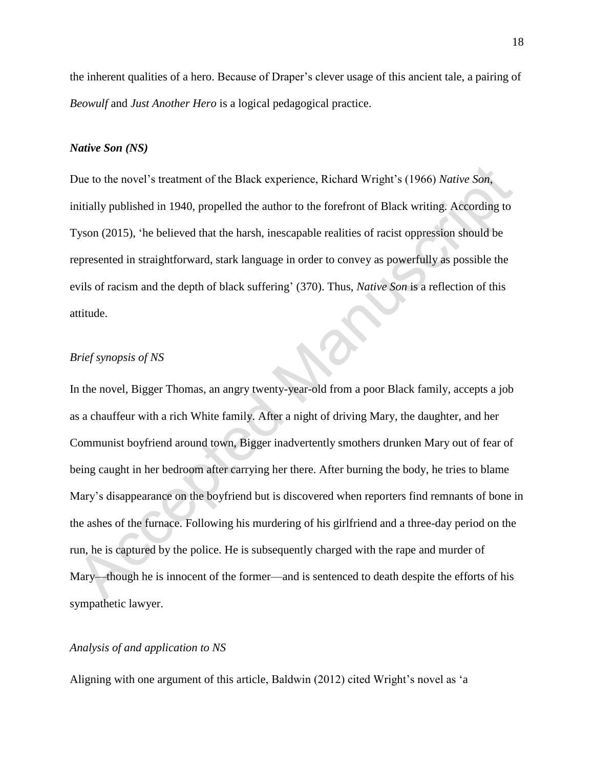the inherent qualities of a hero. Because of Draper's clever usage of this ancient tale, a pairing of *Beowulf* and *Just Another Hero* is a logical pedagogical practice.

#### *Native Son (NS)*

Due to the novel's treatment of the Black experience, Richard Wright's (1966) *Native Son*, initially published in 1940, propelled the author to the forefront of Black writing. According to Tyson (2015), 'he believed that the harsh, inescapable realities of racist oppression should be represented in straightforward, stark language in order to convey as powerfully as possible the evils of racism and the depth of black suffering' (370). Thus, *Native Son* is a reflection of this attitude.

#### *Brief synopsis of NS*

In the novel, Bigger Thomas, an angry twenty-year-old from a poor Black family, accepts a job as a chauffeur with a rich White family. After a night of driving Mary, the daughter, and her Communist boyfriend around town, Bigger inadvertently smothers drunken Mary out of fear of being caught in her bedroom after carrying her there. After burning the body, he tries to blame Mary's disappearance on the boyfriend but is discovered when reporters find remnants of bone in the ashes of the furnace. Following his murdering of his girlfriend and a three-day period on the run, he is captured by the police. He is subsequently charged with the rape and murder of Mary—though he is innocent of the former—and is sentenced to death despite the efforts of his sympathetic lawyer.

#### *Analysis of and application to NS*

Aligning with one argument of this article, Baldwin (2012) cited Wright's novel as 'a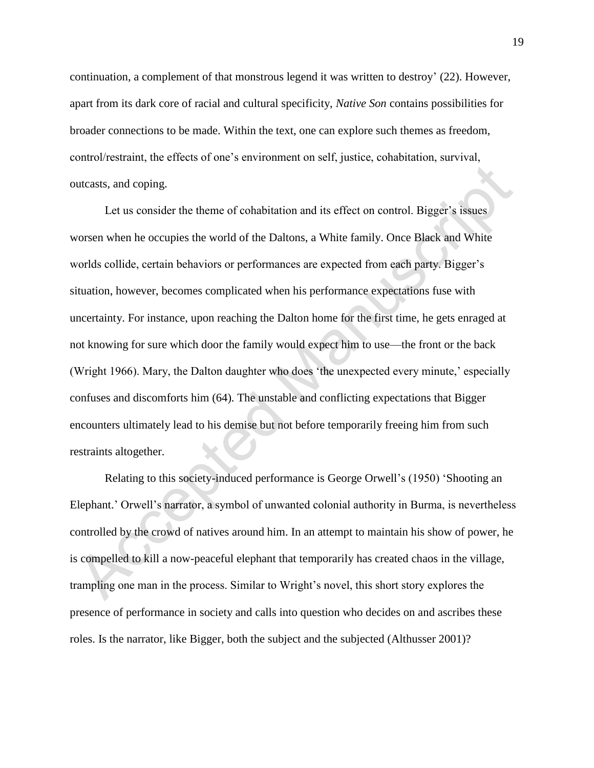continuation, a complement of that monstrous legend it was written to destroy' (22). However, apart from its dark core of racial and cultural specificity, *Native Son* contains possibilities for broader connections to be made. Within the text, one can explore such themes as freedom, control/restraint, the effects of one's environment on self, justice, cohabitation, survival, outcasts, and coping.

Let us consider the theme of cohabitation and its effect on control. Bigger's issues worsen when he occupies the world of the Daltons, a White family. Once Black and White worlds collide, certain behaviors or performances are expected from each party. Bigger's situation, however, becomes complicated when his performance expectations fuse with uncertainty. For instance, upon reaching the Dalton home for the first time, he gets enraged at not knowing for sure which door the family would expect him to use—the front or the back (Wright 1966). Mary, the Dalton daughter who does 'the unexpected every minute,' especially confuses and discomforts him (64). The unstable and conflicting expectations that Bigger encounters ultimately lead to his demise but not before temporarily freeing him from such restraints altogether.

Relating to this society-induced performance is George Orwell's (1950) 'Shooting an Elephant.' Orwell's narrator, a symbol of unwanted colonial authority in Burma, is nevertheless controlled by the crowd of natives around him. In an attempt to maintain his show of power, he is compelled to kill a now-peaceful elephant that temporarily has created chaos in the village, trampling one man in the process. Similar to Wright's novel, this short story explores the presence of performance in society and calls into question who decides on and ascribes these roles. Is the narrator, like Bigger, both the subject and the subjected (Althusser 2001)?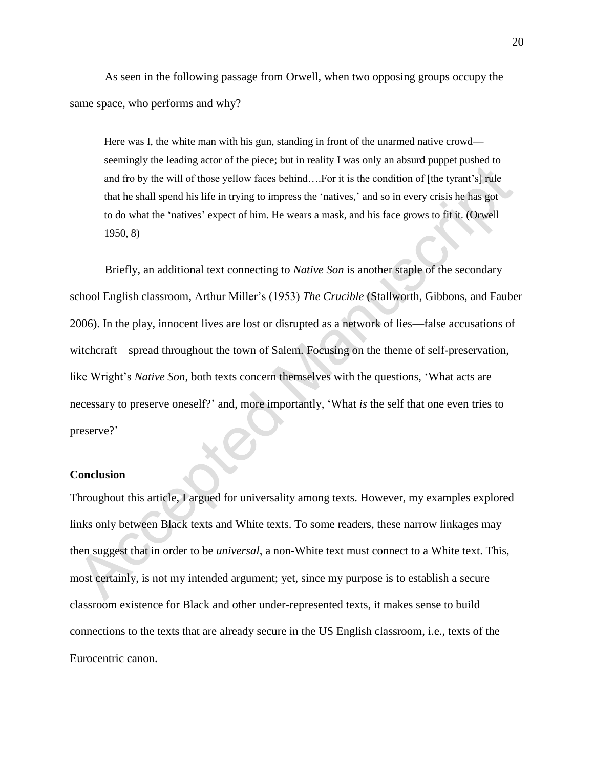As seen in the following passage from Orwell, when two opposing groups occupy the same space, who performs and why?

Here was I, the white man with his gun, standing in front of the unarmed native crowd seemingly the leading actor of the piece; but in reality I was only an absurd puppet pushed to and fro by the will of those yellow faces behind….For it is the condition of [the tyrant's] rule that he shall spend his life in trying to impress the 'natives,' and so in every crisis he has got to do what the 'natives' expect of him. He wears a mask, and his face grows to fit it. (Orwell 1950, 8)

Briefly, an additional text connecting to *Native Son* is another staple of the secondary school English classroom, Arthur Miller's (1953) *The Crucible* (Stallworth, Gibbons, and Fauber 2006). In the play, innocent lives are lost or disrupted as a network of lies—false accusations of witchcraft—spread throughout the town of Salem. Focusing on the theme of self-preservation, like Wright's *Native Son*, both texts concern themselves with the questions, 'What acts are necessary to preserve oneself?' and, more importantly, 'What *is* the self that one even tries to preserve?'

#### **Conclusion**

Throughout this article, I argued for universality among texts. However, my examples explored links only between Black texts and White texts. To some readers, these narrow linkages may then suggest that in order to be *universal*, a non-White text must connect to a White text. This, most certainly, is not my intended argument; yet, since my purpose is to establish a secure classroom existence for Black and other under-represented texts, it makes sense to build connections to the texts that are already secure in the US English classroom, i.e., texts of the Eurocentric canon.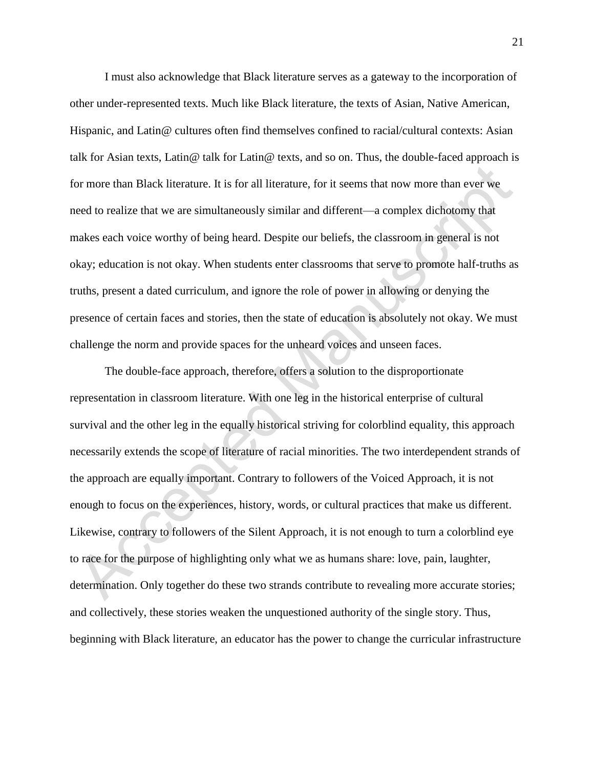I must also acknowledge that Black literature serves as a gateway to the incorporation of other under-represented texts. Much like Black literature, the texts of Asian, Native American, Hispanic, and Latin@ cultures often find themselves confined to racial/cultural contexts: Asian talk for Asian texts, Latin@ talk for Latin@ texts, and so on. Thus, the double-faced approach is for more than Black literature. It is for all literature, for it seems that now more than ever we need to realize that we are simultaneously similar and different—a complex dichotomy that makes each voice worthy of being heard. Despite our beliefs, the classroom in general is not okay; education is not okay. When students enter classrooms that serve to promote half-truths as truths, present a dated curriculum, and ignore the role of power in allowing or denying the presence of certain faces and stories, then the state of education is absolutely not okay. We must challenge the norm and provide spaces for the unheard voices and unseen faces.

The double-face approach, therefore, offers a solution to the disproportionate representation in classroom literature. With one leg in the historical enterprise of cultural survival and the other leg in the equally historical striving for colorblind equality, this approach necessarily extends the scope of literature of racial minorities. The two interdependent strands of the approach are equally important. Contrary to followers of the Voiced Approach, it is not enough to focus on the experiences, history, words, or cultural practices that make us different. Likewise, contrary to followers of the Silent Approach, it is not enough to turn a colorblind eye to race for the purpose of highlighting only what we as humans share: love, pain, laughter, determination. Only together do these two strands contribute to revealing more accurate stories; and collectively, these stories weaken the unquestioned authority of the single story. Thus, beginning with Black literature, an educator has the power to change the curricular infrastructure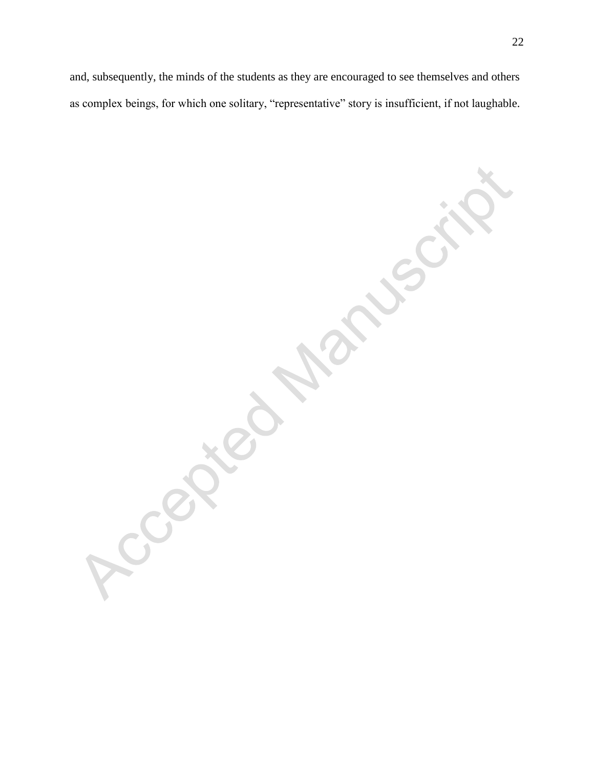and, subsequently, the minds of the students as they are encouraged to see themselves and others as complex beings, for which one solitary, "representative" story is insufficient, if not laughable.

CONSIDERATION

CON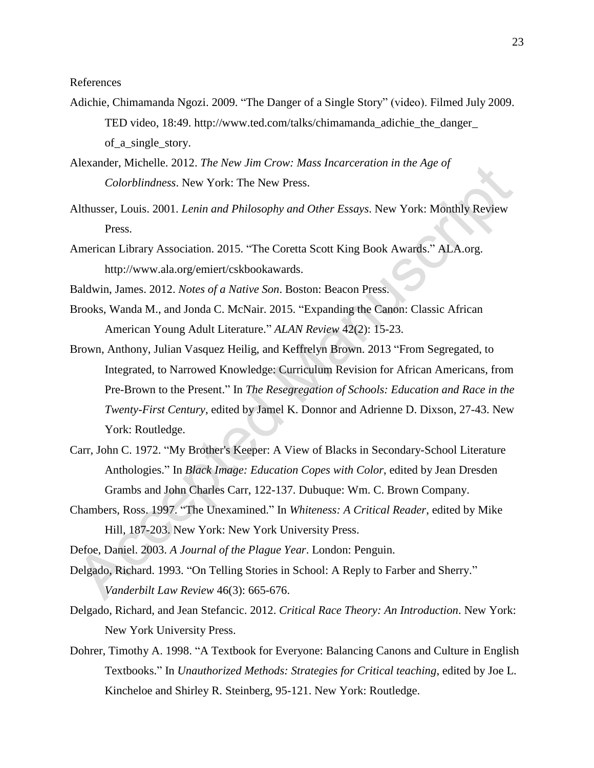References

- Adichie, Chimamanda Ngozi. 2009. "The Danger of a Single Story" (video). Filmed July 2009. TED video, 18:49. http://www.ted.com/talks/chimamanda\_adichie\_the\_danger\_ of\_a\_single\_story.
- Alexander, Michelle. 2012. *The New Jim Crow: Mass Incarceration in the Age of Colorblindness*. New York: The New Press.
- Althusser, Louis. 2001. *Lenin and Philosophy and Other Essays*. New York: Monthly Review Press.
- American Library Association. 2015. "The Coretta Scott King Book Awards." ALA.org. http://www.ala.org/emiert/cskbookawards.
- Baldwin, James. 2012. *Notes of a Native Son*. Boston: Beacon Press.
- Brooks, Wanda M., and Jonda C. McNair. 2015. "Expanding the Canon: Classic African American Young Adult Literature." *ALAN Review* 42(2): 15-23.
- Brown, Anthony, Julian Vasquez Heilig, and Keffrelyn Brown. 2013 "From Segregated, to Integrated, to Narrowed Knowledge: Curriculum Revision for African Americans, from Pre-Brown to the Present." In *The Resegregation of Schools: Education and Race in the Twenty-First Century*, edited by Jamel K. Donnor and Adrienne D. Dixson, 27-43. New York: Routledge.
- Carr, John C. 1972. "My Brother's Keeper: A View of Blacks in Secondary-School Literature Anthologies." In *Black Image: Education Copes with Color*, edited by Jean Dresden Grambs and John Charles Carr, 122-137. Dubuque: Wm. C. Brown Company.
- Chambers, Ross. 1997. "The Unexamined." In *Whiteness: A Critical Reader*, edited by Mike Hill, 187-203. New York: New York University Press.
- Defoe, Daniel. 2003. *A Journal of the Plague Year*. London: Penguin.
- Delgado, Richard. 1993. "On Telling Stories in School: A Reply to Farber and Sherry." *Vanderbilt Law Review* 46(3): 665-676.
- Delgado, Richard, and Jean Stefancic. 2012. *Critical Race Theory: An Introduction*. New York: New York University Press.
- Dohrer, Timothy A. 1998. "A Textbook for Everyone: Balancing Canons and Culture in English Textbooks." In *Unauthorized Methods: Strategies for Critical teaching*, edited by Joe L. Kincheloe and Shirley R. Steinberg, 95-121. New York: Routledge.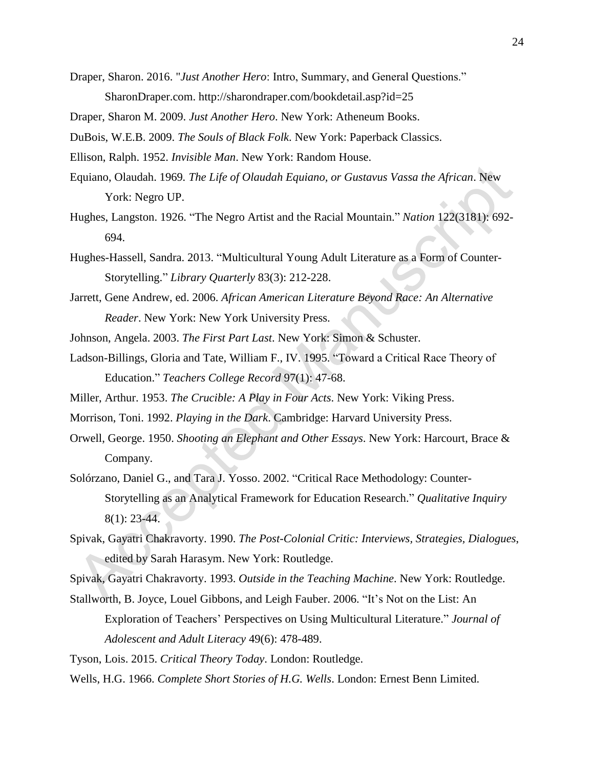- Draper, Sharon. 2016. "*Just Another Hero*: Intro, Summary, and General Questions." SharonDraper.com. http://sharondraper.com/bookdetail.asp?id=25
- Draper, Sharon M. 2009. *Just Another Hero*. New York: Atheneum Books.
- DuBois, W.E.B. 2009. *The Souls of Black Folk*. New York: Paperback Classics.
- Ellison, Ralph. 1952. *Invisible Man*. New York: Random House.
- Equiano, Olaudah. 1969*. The Life of Olaudah Equiano, or Gustavus Vassa the African*. New York: Negro UP.
- Hughes, Langston. 1926. "The Negro Artist and the Racial Mountain." *Nation* 122(3181): 692- 694.
- Hughes-Hassell, Sandra. 2013. "Multicultural Young Adult Literature as a Form of Counter-Storytelling." *Library Quarterly* 83(3): 212-228.
- Jarrett, Gene Andrew, ed. 2006. *African American Literature Beyond Race: An Alternative Reader*. New York: New York University Press.
- Johnson, Angela. 2003. *The First Part Last*. New York: Simon & Schuster.
- Ladson-Billings, Gloria and Tate, William F., IV. 1995. "Toward a Critical Race Theory of Education." *Teachers College Record* 97(1): 47-68.
- Miller, Arthur. 1953. *The Crucible: A Play in Four Acts*. New York: Viking Press.
- Morrison, Toni. 1992. *Playing in the Dark*. Cambridge: Harvard University Press.
- Orwell, George. 1950. *Shooting an Elephant and Other Essays*. New York: Harcourt, Brace & Company.
- Solórzano, Daniel G., and Tara J. Yosso. 2002. "Critical Race Methodology: Counter-Storytelling as an Analytical Framework for Education Research." *Qualitative Inquiry*  8(1): 23-44.
- Spivak, Gayatri Chakravorty. 1990. *The Post-Colonial Critic: Interviews, Strategies, Dialogues*, edited by Sarah Harasym. New York: Routledge.
- Spivak, Gayatri Chakravorty. 1993. *Outside in the Teaching Machine*. New York: Routledge.
- Stallworth, B. Joyce, Louel Gibbons, and Leigh Fauber. 2006. "It's Not on the List: An Exploration of Teachers' Perspectives on Using Multicultural Literature." *Journal of Adolescent and Adult Literacy* 49(6): 478-489.

Tyson, Lois. 2015. *Critical Theory Today*. London: Routledge.

Wells, H.G. 1966. *Complete Short Stories of H.G. Wells*. London: Ernest Benn Limited.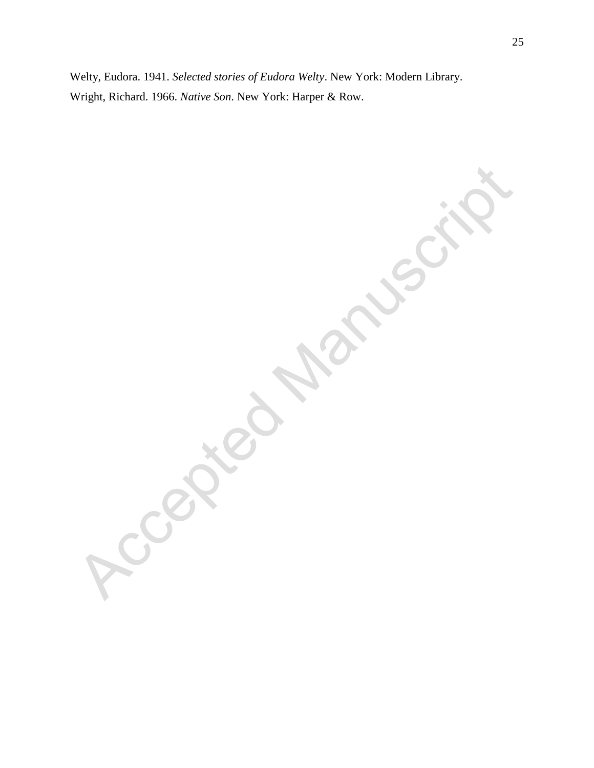Welty, Eudora. 1941. *Selected stories of Eudora Welty*. New York: Modern Library. Wright, Richard. 1966. *Native Son*. New York: Harper & Row.

C.Com CON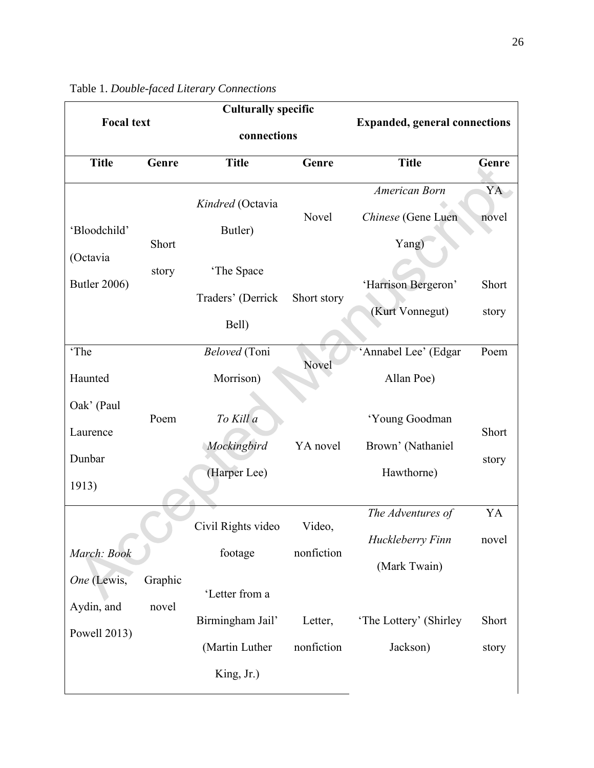|                            |         | <b>Culturally specific</b>      |             |                                      |                |
|----------------------------|---------|---------------------------------|-------------|--------------------------------------|----------------|
| <b>Focal text</b>          |         | connections                     |             | <b>Expanded, general connections</b> |                |
| <b>Title</b>               | Genre   | <b>Title</b>                    | Genre       | <b>Title</b>                         | Genre          |
| 'Bloodchild'               |         | Kindred (Octavia<br>Butler)     | Novel       | American Born<br>Chinese (Gene Luen  | YA<br>novel    |
| (Octavia                   | Short   |                                 |             | Yang)                                |                |
| <b>Butler 2006)</b>        | story   | 'The Space<br>Traders' (Derrick | Short story | 'Harrison Bergeron'                  | Short          |
|                            |         | Bell)                           |             | (Kurt Vonnegut)                      | story          |
| 'The                       |         | Beloved (Toni                   | Novel       | 'Annabel Lee' (Edgar                 | Poem           |
| Haunted                    |         | Morrison)                       |             | Allan Poe)                           |                |
| Oak' (Paul                 | Poem    | To Kill a                       |             | 'Young Goodman                       |                |
| Laurence                   |         | Mockingbird                     | YA novel    | Brown' (Nathaniel                    | Short<br>story |
| Dunbar<br>1913)            |         | (Harper Lee)                    |             | Hawthorne)                           |                |
|                            |         | Civil Rights video              | Video,      | The Adventures of                    | YA             |
| March: Book                |         | footage                         | nonfiction  | Huckleberry Finn<br>(Mark Twain)     | novel          |
| One (Lewis,                | Graphic | 'Letter from a                  |             |                                      |                |
| Aydin, and<br>Powell 2013) | novel   | Birmingham Jail'                | Letter,     | 'The Lottery' (Shirley)              | Short          |
|                            |         | (Martin Luther                  | nonfiction  | Jackson)                             | story          |
|                            |         | King, Jr.)                      |             |                                      |                |

| Table 1. Double-faced Literary Connections |  |  |
|--------------------------------------------|--|--|
|--------------------------------------------|--|--|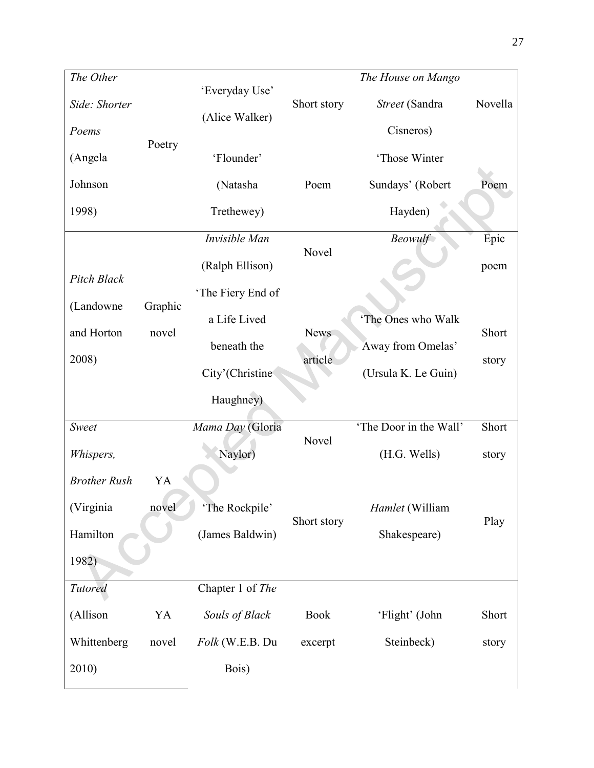| The Other           |         |                   |             | The House on Mango     |         |
|---------------------|---------|-------------------|-------------|------------------------|---------|
| Side: Shorter       |         | 'Everyday Use'    | Short story | Street (Sandra         | Novella |
| Poems               | Poetry  | (Alice Walker)    |             | Cisneros)              |         |
| (Angela             |         | 'Flounder'        |             | 'Those Winter          |         |
| Johnson             |         | (Natasha          | Poem        | Sundays' (Robert       | Poem    |
| 1998)               |         | Trethewey)        |             | Hayden)                |         |
|                     |         | Invisible Man     |             | <b>Beowulf</b>         | Epic    |
| <b>Pitch Black</b>  |         | (Ralph Ellison)   | Novel       |                        | poem    |
| (Landowne           | Graphic | 'The Fiery End of |             |                        |         |
| and Horton          | novel   | a Life Lived      | <b>News</b> | 'The Ones who Walk     | Short   |
|                     |         | beneath the       |             | Away from Omelas'      |         |
| 2008)               |         | City'(Christine   | article     | (Ursula K. Le Guin)    | story   |
|                     |         | Haughney)         |             |                        |         |
| Sweet               |         | Mama Day (Gloria  | Novel       | 'The Door in the Wall' | Short   |
| Whispers,           |         | Naylor)           |             | (H.G. Wells)           | story   |
| <b>Brother Rush</b> | YA      |                   |             |                        |         |
| (Virginia           | novel   | 'The Rockpile'    | Short story | Hamlet (William        | Play    |
| Hamilton            |         | (James Baldwin)   |             | Shakespeare)           |         |
| 1982)               |         |                   |             |                        |         |
| Tutored             |         | Chapter 1 of The  |             |                        |         |
| (Allison            | YA      | Souls of Black    | <b>Book</b> | 'Flight' (John         | Short   |
| Whittenberg         | novel   | Folk (W.E.B. Du   | excerpt     | Steinbeck)             | story   |
| 2010)               |         | Bois)             |             |                        |         |